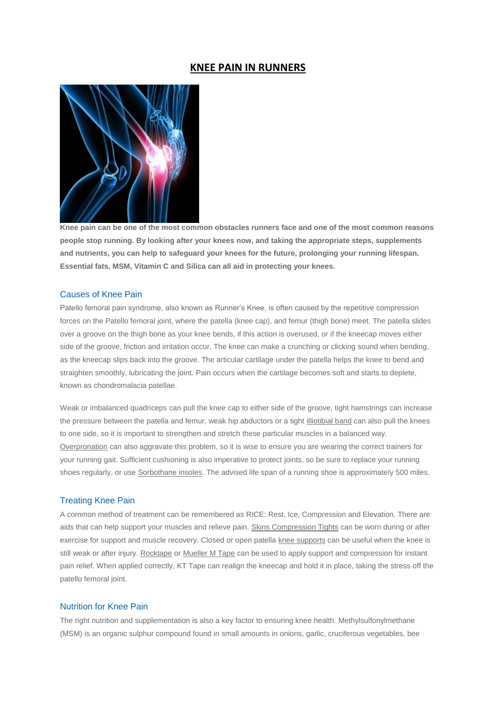# **KNEE PAIN IN RUNNERS**



**Knee pain can be one of the most common obstacles runners face and one of the most common reasons people stop running. By looking after your knees now, and taking the appropriate steps, supplements and nutrients, you can help to safeguard your knees for the future, prolonging your running lifespan. Essential fats, MSM, Vitamin C and Silica can all aid in protecting your knees.**

#### Causes of Knee Pain

Patello femoral pain syndrome, also known as Runner's Knee, is often caused by the repetitive compression forces on the Patello femoral joint, where the patella (knee cap), and femur (thigh bone) meet. The patella slides over a groove on the thigh bone as your knee bends, if this action is overused, or if the kneecap moves either side of the groove, friction and irritation occur. The knee can make a crunching or clicking sound when bending, as the kneecap slips back into the groove. The articular cartilage under the patella helps the knee to bend and straighten smoothly, lubricating the joint. Pain occurs when the cartilage becomes soft and starts to deplete, known as chondromalacia patellae.

Weak or imbalanced quadriceps can pull the knee cap to either side of the groove, tight hamstrings can increase the pressure between the patella and femur, weak hip abductors or a tight [illiotibial band](http://run.runandbecome.com/running-health-advice/injuries/iliotibial-band-syndrome-itbs-in-runners/) can also pull the knees to one side, so it is important to strengthen and stretch these particular muscles in a balanced way. [Overpronation](http://www.runandbecome.com/Expertise/Natural-Gait-Analysis) can also aggravate this problem, so it is wise to ensure you are wearing the correct trainers for your running gait. Sufficient cushioning is also imperative to protect joints, so be sure to replace your running shoes regularly, or us[e Sorbothane insoles.](http://www.runandbecome.com/Running-Insoles?id=91) The advised life span of a running shoe is approximately 500 miles.

## Treating Knee Pain

A common method of treatment can be remembered as RICE: Rest, Ice, Compression and Elevation. There are aids that can help support your muscles and relieve pain[. Skins Compression Tights](http://www.runandbecome.com/Shop-Online/Brands-Products?id=88) can be worn during or after exercise for support and muscle recovery. Closed or open patella [knee supports](http://www.runandbecome.com/Running-Supports) can be useful when the knee is still weak or after injury. [Rocktape](http://www.runandbecome.com/Shop-Online/Accessories/Extras/Supports/Rock-Tape) o[r Mueller M Tape](http://www.runandbecome.com/Shop-Online/Accessories/Extras/Supports/Muellar-Athletic-M-Tape) can be used to apply support and compression for instant pain relief. When applied correctly, KT Tape can realign the kneecap and hold it in place, taking the stress off the patello femoral joint.

## Nutrition for Knee Pain

The right nutrition and supplementation is also a key factor to ensuring knee health. Methylsulfonylmethane (MSM) is an organic sulphur compound found in small amounts in onions, garlic, cruciferous vegetables, bee